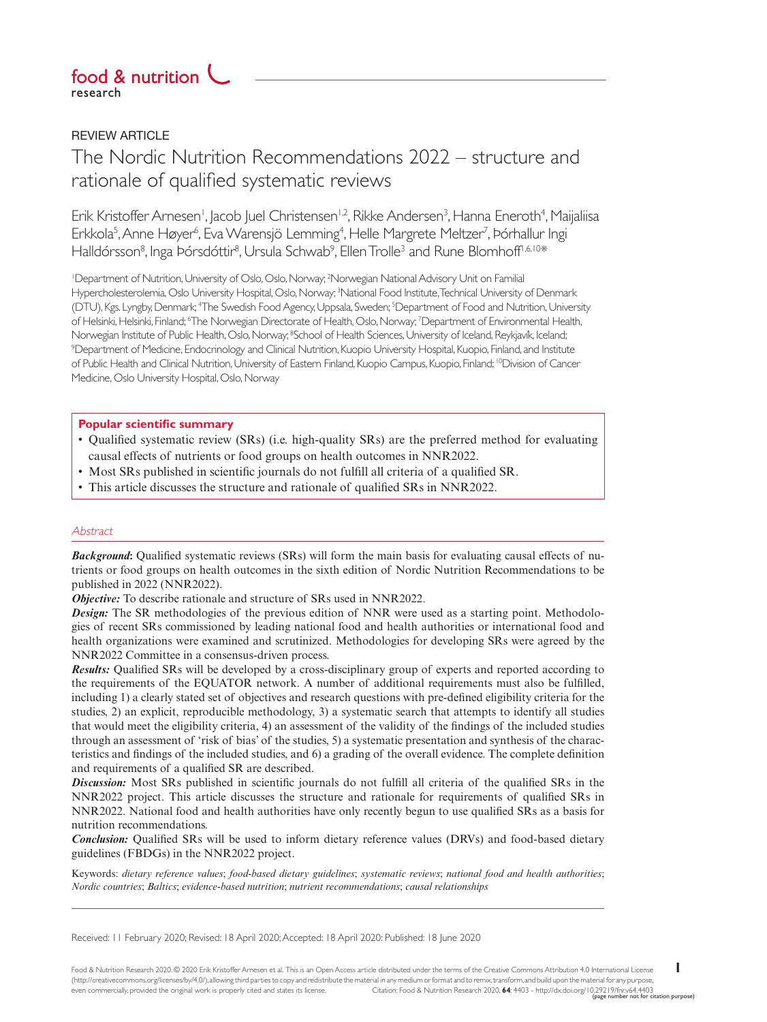## research food & nutrition

**REVIEW ARTICLE** 

# The Nordic Nutrition Recommendations 2022 – structure and rationale of qualified systematic reviews

Erik Kristoffer Arnesen<sup>i</sup>, Jacob Juel Christensen<sup>i, 2</sup>, Rikke Andersen<sup>3</sup>, Hanna Eneroth<sup>4</sup>, Maijaliisa Erkkola<sup>5</sup>, Anne Høyer<sup>6</sup>, Eva Warensjö Lemming<sup>4</sup>, Helle Margrete Meltzer<sup>7</sup>, Þórhallur Ingi Halldórsson<sup>8</sup>, Inga Þórsdóttir<sup>8</sup>, Ursula Schwab<sup>9</sup>, Ellen Trolle<sup>3</sup> and Rune Blomhoff<sup>1,6,10</sup>\*

1 Department of Nutrition, University of Oslo, Oslo, Norway; 2 Norwegian National Advisory Unit on Familial Hypercholesterolemia, Oslo University Hospital, Oslo, Norway; 3 National Food Institute, Technical University of Denmark (DTU), Kgs. Lyngby, Denmark; 4 The Swedish Food Agency, Uppsala, Sweden; 5 Department of Food and Nutrition, University of Helsinki, Helsinki, Finland; <sup>6</sup>The Norwegian Directorate of Health, Oslo, Norway; <sup>7</sup>Department of Environmental Health, Norwegian Institute of Public Health, Oslo, Norway; <sup>8</sup>School of Health Sciences, University of Iceland, Reykjavík, Iceland;<br><sup>9</sup>Department of Medicine Endocrinology and Clinical Nutrition Kuopio Llniversity Hospital Kuopio <sup>9</sup>Department of Medicine, Endocrinology and Clinical Nutrition, Kuopio University Hospital, Kuopio, Finland, and Institute of Public Health and Clinical Nutrition, University of Eastern Finland, Kuopio Campus, Kuopio, Finland; 10Division of Cancer Medicine, Oslo University Hospital, Oslo, Norway

## **Popular scientific summary**

- Qualified systematic review (SRs) (i.e. high-quality SRs) are the preferred method for evaluating causal effects of nutrients or food groups on health outcomes in NNR2022.
- Most SRs published in scientific journals do not fulfill all criteria of a qualified SR.
- This article discusses the structure and rationale of qualified SRs in NNR2022.

## **Abstract**

*Background***:** Qualified systematic reviews (SRs) will form the main basis for evaluating causal effects of nutrients or food groups on health outcomes in the sixth edition of Nordic Nutrition Recommendations to be published in 2022 (NNR2022).

*Objective:* To describe rationale and structure of SRs used in NNR2022.

*Design:* The SR methodologies of the previous edition of NNR were used as a starting point. Methodologies of recent SRs commissioned by leading national food and health authorities or international food and health organizations were examined and scrutinized. Methodologies for developing SRs were agreed by the NNR2022 Committee in a consensus-driven process.

*Results:* Qualified SRs will be developed by a cross-disciplinary group of experts and reported according to the requirements of the EQUATOR network. A number of additional requirements must also be fulfilled, including 1) a clearly stated set of objectives and research questions with pre-defined eligibility criteria for the studies, 2) an explicit, reproducible methodology, 3) a systematic search that attempts to identify all studies that would meet the eligibility criteria, 4) an assessment of the validity of the findings of the included studies through an assessment of 'risk of bias' of the studies, 5) a systematic presentation and synthesis of the characteristics and findings of the included studies, and 6) a grading of the overall evidence. The complete definition and requirements of a qualified SR are described.

*Discussion:* Most SRs published in scientific journals do not fulfill all criteria of the qualified SRs in the NNR2022 project. This article discusses the structure and rationale for requirements of qualified SRs in NNR2022. National food and health authorities have only recently begun to use qualified SRs as a basis for nutrition recommendations.

*Conclusion:* Qualified SRs will be used to inform dietary reference values (DRVs) and food-based dietary guidelines (FBDGs) in the NNR2022 project.

Keywords: *dietary reference values*; *food-based dietary guidelines*; *systematic reviews*; *national food and health authorities*; *Nordic countries*; *Baltics*; *evidence-based nutrition*; *nutrient recommendations*; *causal relationships*

Received: 11 February 2020; Revised: 18 April 2020; Accepted: 18 April 2020: Published: 18 June 2020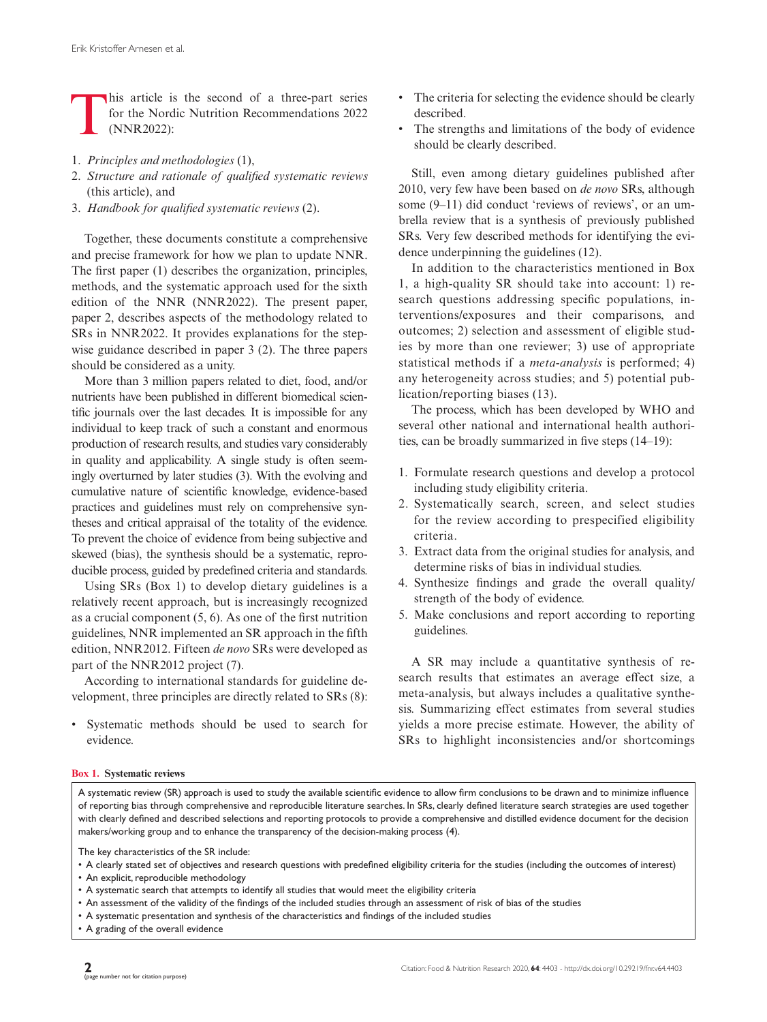This article is the second of a three-part series<br>for the Nordic Nutrition Recommendations 2022<br>(NNR2022): for the Nordic Nutrition Recommendations 2022 (NNR2022):

- 1. *Principles and methodologies* (1),
- 2. *Structure and rationale of qualified systematic reviews* (this article), and
- 3. *Handbook for qualified systematic reviews* (2).

Together, these documents constitute a comprehensive and precise framework for how we plan to update NNR. The first paper (1) describes the organization, principles, methods, and the systematic approach used for the sixth edition of the NNR (NNR2022). The present paper, paper 2, describes aspects of the methodology related to SRs in NNR2022. It provides explanations for the stepwise guidance described in paper 3 (2). The three papers should be considered as a unity.

More than 3 million papers related to diet, food, and/or nutrients have been published in different biomedical scientific journals over the last decades. It is impossible for any individual to keep track of such a constant and enormous production of research results, and studies vary considerably in quality and applicability. A single study is often seemingly overturned by later studies (3). With the evolving and cumulative nature of scientific knowledge, evidence-based practices and guidelines must rely on comprehensive syntheses and critical appraisal of the totality of the evidence. To prevent the choice of evidence from being subjective and skewed (bias), the synthesis should be a systematic, reproducible process, guided by predefined criteria and standards.

Using SRs (Box 1) to develop dietary guidelines is a relatively recent approach, but is increasingly recognized as a crucial component (5, 6). As one of the first nutrition guidelines, NNR implemented an SR approach in the fifth edition, NNR2012. Fifteen *de novo* SRs were developed as part of the NNR2012 project (7).

According to international standards for guideline development, three principles are directly related to SRs (8):

• Systematic methods should be used to search for evidence.

- The criteria for selecting the evidence should be clearly described.
- The strengths and limitations of the body of evidence should be clearly described.

Still, even among dietary guidelines published after 2010, very few have been based on *de novo* SRs, although some (9–11) did conduct 'reviews of reviews', or an umbrella review that is a synthesis of previously published SRs. Very few described methods for identifying the evidence underpinning the guidelines (12).

In addition to the characteristics mentioned in Box 1, a high-quality SR should take into account: 1) research questions addressing specific populations, interventions/exposures and their comparisons, and outcomes; 2) selection and assessment of eligible studies by more than one reviewer; 3) use of appropriate statistical methods if a *meta-analysis* is performed; 4) any heterogeneity across studies; and 5) potential publication/reporting biases (13).

The process, which has been developed by WHO and several other national and international health authorities, can be broadly summarized in five steps (14–19):

- 1. Formulate research questions and develop a protocol including study eligibility criteria.
- 2. Systematically search, screen, and select studies for the review according to prespecified eligibility criteria.
- 3. Extract data from the original studies for analysis, and determine risks of bias in individual studies.
- 4. Synthesize findings and grade the overall quality/ strength of the body of evidence.
- 5. Make conclusions and report according to reporting guidelines.

A SR may include a quantitative synthesis of research results that estimates an average effect size, a meta-analysis, but always includes a qualitative synthesis. Summarizing effect estimates from several studies yields a more precise estimate. However, the ability of SRs to highlight inconsistencies and/or shortcomings

#### **Box 1. Systematic reviews**

A systematic review (SR) approach is used to study the available scientific evidence to allow firm conclusions to be drawn and to minimize influence of reporting bias through comprehensive and reproducible literature searches. In SRs, clearly defined literature search strategies are used together with clearly defined and described selections and reporting protocols to provide a comprehensive and distilled evidence document for the decision makers/working group and to enhance the transparency of the decision-making process (4).

The key characteristics of the SR include:

- A clearly stated set of objectives and research questions with predefined eligibility criteria for the studies (including the outcomes of interest)
- An explicit, reproducible methodology
- A systematic search that attempts to identify all studies that would meet the eligibility criteria
- An assessment of the validity of the findings of the included studies through an assessment of risk of bias of the studies
- A systematic presentation and synthesis of the characteristics and findings of the included studies
- A grading of the overall evidence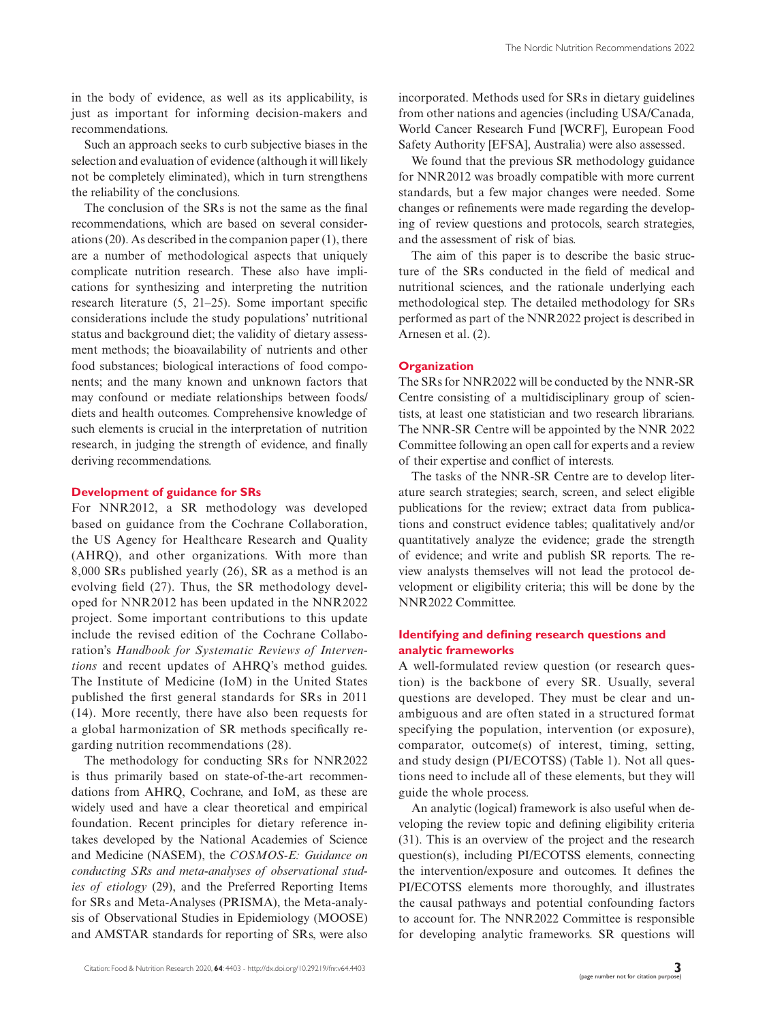Such an approach seeks to curb subjective biases in the selection and evaluation of evidence (although it will likely not be completely eliminated), which in turn strengthens the reliability of the conclusions.

The conclusion of the SRs is not the same as the final recommendations, which are based on several considerations (20). As described in the companion paper (1), there are a number of methodological aspects that uniquely complicate nutrition research. These also have implications for synthesizing and interpreting the nutrition research literature (5, 21–25). Some important specific considerations include the study populations' nutritional status and background diet; the validity of dietary assessment methods; the bioavailability of nutrients and other food substances; biological interactions of food components; and the many known and unknown factors that may confound or mediate relationships between foods/ diets and health outcomes. Comprehensive knowledge of such elements is crucial in the interpretation of nutrition research, in judging the strength of evidence, and finally deriving recommendations.

#### **Development of guidance for SRs**

For NNR2012, a SR methodology was developed based on guidance from the Cochrane Collaboration, the US Agency for Healthcare Research and Quality (AHRQ), and other organizations. With more than 8,000 SRs published yearly (26), SR as a method is an evolving field (27). Thus, the SR methodology developed for NNR2012 has been updated in the NNR2022 project. Some important contributions to this update include the revised edition of the Cochrane Collaboration's *Handbook for Systematic Reviews of Interventions* and recent updates of AHRQ's method guides. The Institute of Medicine (IoM) in the United States published the first general standards for SRs in 2011 (14). More recently, there have also been requests for a global harmonization of SR methods specifically regarding nutrition recommendations (28).

The methodology for conducting SRs for NNR2022 is thus primarily based on state-of-the-art recommendations from AHRQ, Cochrane, and IoM, as these are widely used and have a clear theoretical and empirical foundation. Recent principles for dietary reference intakes developed by the National Academies of Science and Medicine (NASEM), the *COSMOS-E: Guidance on conducting SRs and meta-analyses of observational studies of etiology* (29), and the Preferred Reporting Items for SRs and Meta-Analyses (PRISMA), the Meta-analysis of Observational Studies in Epidemiology (MOOSE) and AMSTAR standards for reporting of SRs, were also

incorporated. Methods used for SRs in dietary guidelines from other nations and agencies (including USA/Canada*,*  World Cancer Research Fund [WCRF], European Food Safety Authority [EFSA], Australia) were also assessed.

We found that the previous SR methodology guidance for NNR2012 was broadly compatible with more current standards, but a few major changes were needed. Some changes or refinements were made regarding the developing of review questions and protocols, search strategies, and the assessment of risk of bias.

The aim of this paper is to describe the basic structure of the SRs conducted in the field of medical and nutritional sciences, and the rationale underlying each methodological step. The detailed methodology for SRs performed as part of the NNR2022 project is described in Arnesen et al. (2).

## **Organization**

The SRs for NNR2022 will be conducted by the NNR-SR Centre consisting of a multidisciplinary group of scientists, at least one statistician and two research librarians. The NNR-SR Centre will be appointed by the NNR 2022 Committee following an open call for experts and a review of their expertise and conflict of interests.

The tasks of the NNR-SR Centre are to develop literature search strategies; search, screen, and select eligible publications for the review; extract data from publications and construct evidence tables; qualitatively and/or quantitatively analyze the evidence; grade the strength of evidence; and write and publish SR reports. The review analysts themselves will not lead the protocol development or eligibility criteria; this will be done by the NNR2022 Committee.

## **Identifying and defining research questions and analytic frameworks**

A well-formulated review question (or research question) is the backbone of every SR. Usually, several questions are developed. They must be clear and unambiguous and are often stated in a structured format specifying the population, intervention (or exposure), comparator, outcome(s) of interest, timing, setting, and study design (PI/ECOTSS) (Table 1). Not all questions need to include all of these elements, but they will guide the whole process.

An analytic (logical) framework is also useful when developing the review topic and defining eligibility criteria (31). This is an overview of the project and the research question(s), including PI/ECOTSS elements, connecting the intervention/exposure and outcomes. It defines the PI/ECOTSS elements more thoroughly, and illustrates the causal pathways and potential confounding factors to account for. The NNR2022 Committee is responsible for developing analytic frameworks. SR questions will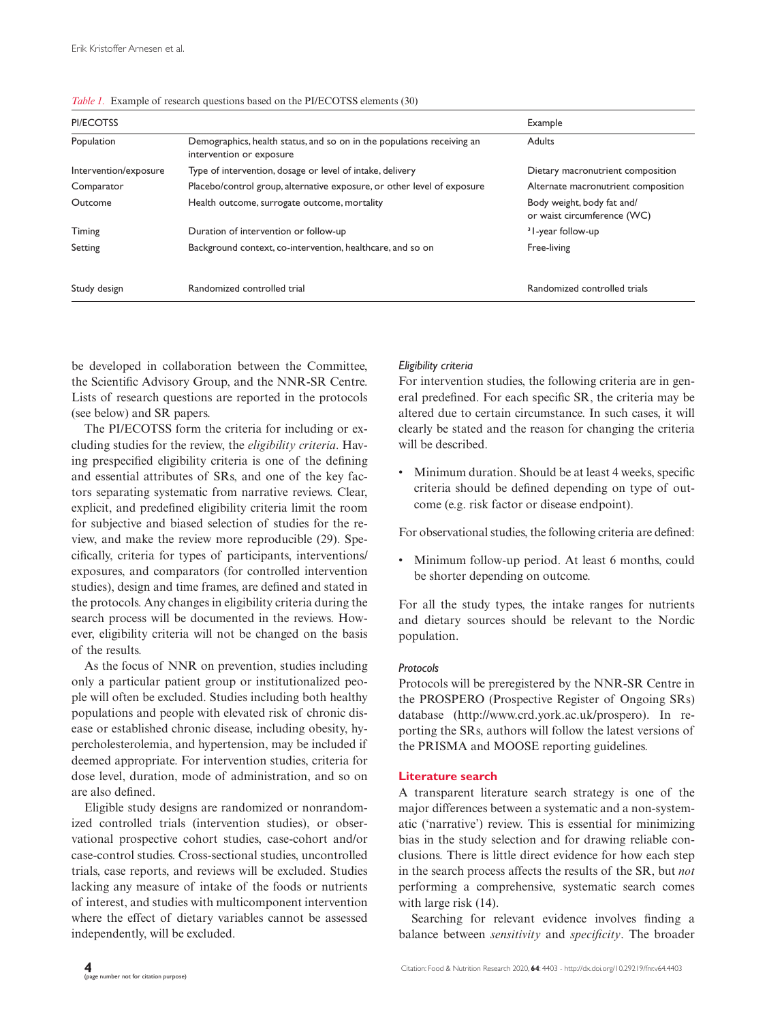| PI/ECOTSS             |                                                                                                    | Example                                                   |
|-----------------------|----------------------------------------------------------------------------------------------------|-----------------------------------------------------------|
| Population            | Demographics, health status, and so on in the populations receiving an<br>intervention or exposure | <b>Adults</b>                                             |
| Intervention/exposure | Type of intervention, dosage or level of intake, delivery                                          | Dietary macronutrient composition                         |
| Comparator            | Placebo/control group, alternative exposure, or other level of exposure                            | Alternate macronutrient composition                       |
| Outcome               | Health outcome, surrogate outcome, mortality                                                       | Body weight, body fat and/<br>or waist circumference (WC) |
| Timing                | Duration of intervention or follow-up                                                              | <sup>3</sup> l-year follow-up                             |
| Setting               | Background context, co-intervention, healthcare, and so on                                         | Free-living                                               |
| Study design          | Randomized controlled trial                                                                        | Randomized controlled trials                              |

*Table 1.* Example of research questions based on the PI/ECOTSS elements (30)

be developed in collaboration between the Committee, the Scientific Advisory Group, and the NNR-SR Centre. Lists of research questions are reported in the protocols (see below) and SR papers.

The PI/ECOTSS form the criteria for including or excluding studies for the review, the *eligibility criteria*. Having prespecified eligibility criteria is one of the defining and essential attributes of SRs, and one of the key factors separating systematic from narrative reviews. Clear, explicit, and predefined eligibility criteria limit the room for subjective and biased selection of studies for the review, and make the review more reproducible (29). Specifically, criteria for types of participants, interventions/ exposures, and comparators (for controlled intervention studies), design and time frames, are defined and stated in the protocols. Any changes in eligibility criteria during the search process will be documented in the reviews. However, eligibility criteria will not be changed on the basis of the results.

As the focus of NNR on prevention, studies including only a particular patient group or institutionalized people will often be excluded. Studies including both healthy populations and people with elevated risk of chronic disease or established chronic disease, including obesity, hypercholesterolemia, and hypertension, may be included if deemed appropriate. For intervention studies, criteria for dose level, duration, mode of administration, and so on are also defined.

Eligible study designs are randomized or nonrandomized controlled trials (intervention studies), or observational prospective cohort studies, case-cohort and/or case-control studies. Cross-sectional studies, uncontrolled trials, case reports, and reviews will be excluded. Studies lacking any measure of intake of the foods or nutrients of interest, and studies with multicomponent intervention where the effect of dietary variables cannot be assessed independently, will be excluded.

## *Eligibility criteria*

For intervention studies, the following criteria are in general predefined. For each specific SR, the criteria may be altered due to certain circumstance. In such cases, it will clearly be stated and the reason for changing the criteria will be described.

• Minimum duration. Should be at least 4 weeks, specific criteria should be defined depending on type of outcome (e.g. risk factor or disease endpoint).

For observational studies, the following criteria are defined:

• Minimum follow-up period. At least 6 months, could be shorter depending on outcome.

For all the study types, the intake ranges for nutrients and dietary sources should be relevant to the Nordic population.

## *Protocols*

Protocols will be preregistered by the NNR-SR Centre in the PROSPERO (Prospective Register of Ongoing SRs) database ([http://www.crd.york.ac.uk/prospero\)](http://www.crd.york.ac.uk/prospero). In reporting the SRs, authors will follow the latest versions of the PRISMA and MOOSE reporting guidelines.

## **Literature search**

A transparent literature search strategy is one of the major differences between a systematic and a non-systematic ('narrative') review. This is essential for minimizing bias in the study selection and for drawing reliable conclusions. There is little direct evidence for how each step in the search process affects the results of the SR, but *not* performing a comprehensive, systematic search comes with large risk (14).

Searching for relevant evidence involves finding a balance between *sensitivity* and *specificity*. The broader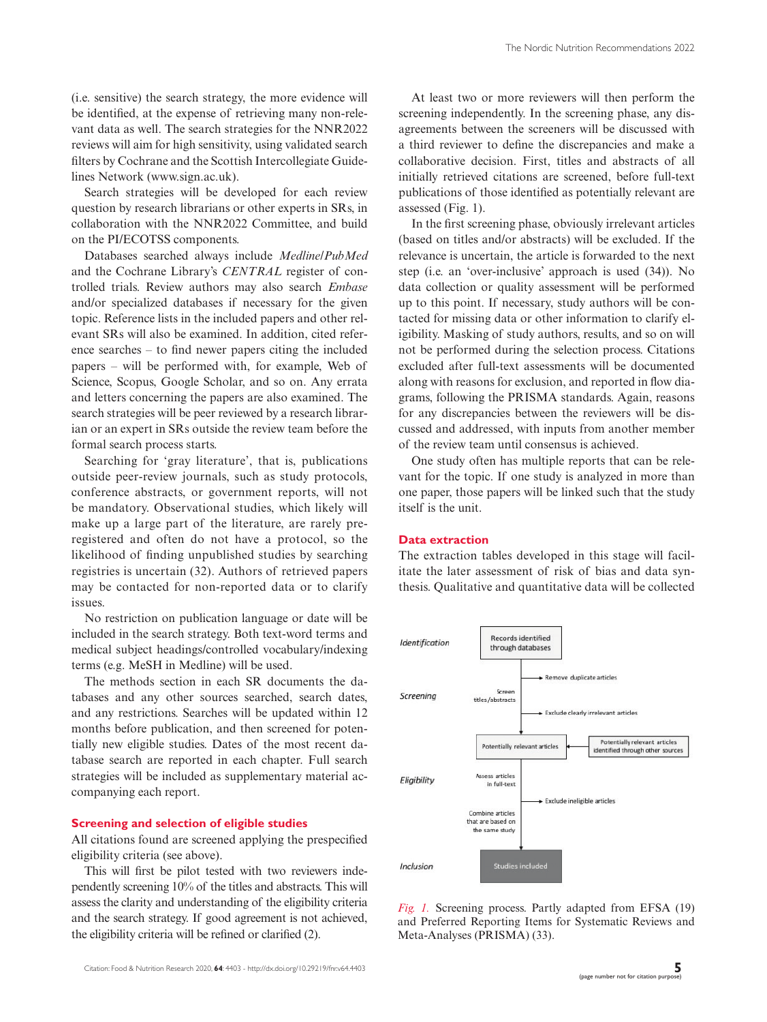(i.e. sensitive) the search strategy, the more evidence will be identified, at the expense of retrieving many non-relevant data as well. The search strategies for the NNR2022 reviews will aim for high sensitivity, using validated search filters by Cochrane and the Scottish Intercollegiate Guidelines Network [\(www.sign.ac.uk](http://www.sign.ac.uk)).

Search strategies will be developed for each review question by research librarians or other experts in SRs, in collaboration with the NNR2022 Committee, and build on the PI/ECOTSS components.

Databases searched always include *Medline/PubMed* and the Cochrane Library's *CENTRAL* register of controlled trials. Review authors may also search *Embase* and/or specialized databases if necessary for the given topic. Reference lists in the included papers and other relevant SRs will also be examined. In addition, cited reference searches – to find newer papers citing the included papers – will be performed with, for example, Web of Science, Scopus, Google Scholar, and so on. Any errata and letters concerning the papers are also examined. The search strategies will be peer reviewed by a research librarian or an expert in SRs outside the review team before the formal search process starts.

Searching for 'gray literature', that is, publications outside peer-review journals, such as study protocols, conference abstracts, or government reports, will not be mandatory. Observational studies, which likely will make up a large part of the literature, are rarely preregistered and often do not have a protocol, so the likelihood of finding unpublished studies by searching registries is uncertain (32). Authors of retrieved papers may be contacted for non-reported data or to clarify issues.

No restriction on publication language or date will be included in the search strategy. Both text-word terms and medical subject headings/controlled vocabulary/indexing terms (e.g. MeSH in Medline) will be used.

The methods section in each SR documents the databases and any other sources searched, search dates, and any restrictions. Searches will be updated within 12 months before publication, and then screened for potentially new eligible studies. Dates of the most recent database search are reported in each chapter. Full search strategies will be included as supplementary material accompanying each report.

## **Screening and selection of eligible studies**

All citations found are screened applying the prespecified eligibility criteria (see above).

This will first be pilot tested with two reviewers independently screening 10% of the titles and abstracts. This will assess the clarity and understanding of the eligibility criteria and the search strategy. If good agreement is not achieved, the eligibility criteria will be refined or clarified (2).

At least two or more reviewers will then perform the screening independently. In the screening phase, any disagreements between the screeners will be discussed with a third reviewer to define the discrepancies and make a collaborative decision. First, titles and abstracts of all initially retrieved citations are screened, before full-text publications of those identified as potentially relevant are assessed (Fig. 1).

In the first screening phase, obviously irrelevant articles (based on titles and/or abstracts) will be excluded. If the relevance is uncertain, the article is forwarded to the next step (i.e. an 'over-inclusive' approach is used (34)). No data collection or quality assessment will be performed up to this point. If necessary, study authors will be contacted for missing data or other information to clarify eligibility. Masking of study authors, results, and so on will not be performed during the selection process. Citations excluded after full-text assessments will be documented along with reasons for exclusion, and reported in flow diagrams, following the PRISMA standards. Again, reasons for any discrepancies between the reviewers will be discussed and addressed, with inputs from another member of the review team until consensus is achieved.

One study often has multiple reports that can be relevant for the topic. If one study is analyzed in more than one paper, those papers will be linked such that the study itself is the unit.

#### **Data extraction**

The extraction tables developed in this stage will facilitate the later assessment of risk of bias and data synthesis. Qualitative and quantitative data will be collected



*Fig. 1.* Screening process. Partly adapted from EFSA (19) and Preferred Reporting Items for Systematic Reviews and Meta-Analyses (PRISMA) (33).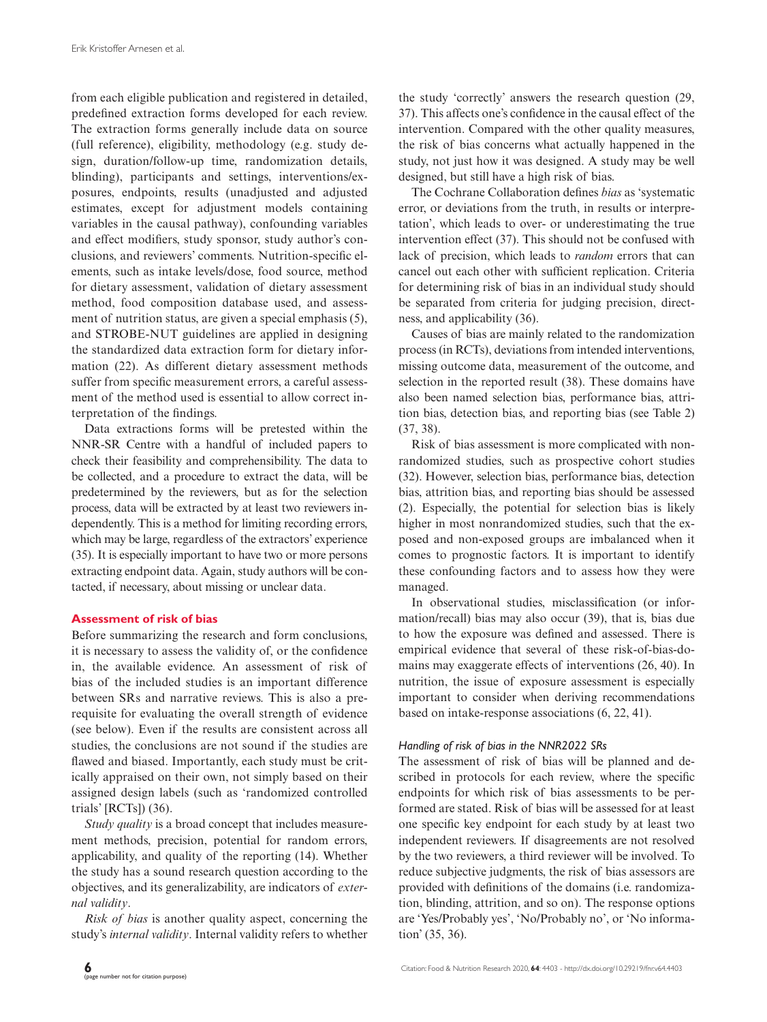from each eligible publication and registered in detailed, predefined extraction forms developed for each review. The extraction forms generally include data on source (full reference), eligibility, methodology (e.g. study design, duration/follow-up time, randomization details, blinding), participants and settings, interventions/exposures, endpoints, results (unadjusted and adjusted estimates, except for adjustment models containing variables in the causal pathway), confounding variables and effect modifiers, study sponsor, study author's conclusions, and reviewers' comments. Nutrition-specific elements, such as intake levels/dose, food source, method for dietary assessment, validation of dietary assessment method, food composition database used, and assessment of nutrition status, are given a special emphasis (5), and STROBE-NUT guidelines are applied in designing the standardized data extraction form for dietary information (22). As different dietary assessment methods suffer from specific measurement errors, a careful assessment of the method used is essential to allow correct interpretation of the findings.

Data extractions forms will be pretested within the NNR-SR Centre with a handful of included papers to check their feasibility and comprehensibility. The data to be collected, and a procedure to extract the data, will be predetermined by the reviewers, but as for the selection process, data will be extracted by at least two reviewers independently. This is a method for limiting recording errors, which may be large, regardless of the extractors' experience (35). It is especially important to have two or more persons extracting endpoint data. Again, study authors will be contacted, if necessary, about missing or unclear data.

#### **Assessment of risk of bias**

Before summarizing the research and form conclusions, it is necessary to assess the validity of, or the confidence in, the available evidence. An assessment of risk of bias of the included studies is an important difference between SRs and narrative reviews. This is also a prerequisite for evaluating the overall strength of evidence (see below). Even if the results are consistent across all studies, the conclusions are not sound if the studies are flawed and biased. Importantly, each study must be critically appraised on their own, not simply based on their assigned design labels (such as 'randomized controlled trials' [RCTs]) (36).

*Study quality* is a broad concept that includes measurement methods, precision, potential for random errors, applicability, and quality of the reporting (14). Whether the study has a sound research question according to the objectives, and its generalizability, are indicators of *external validity*.

*Risk of bias* is another quality aspect, concerning the study's *internal validity*. Internal validity refers to whether

the study 'correctly' answers the research question (29, 37). This affects one's confidence in the causal effect of the intervention. Compared with the other quality measures, the risk of bias concerns what actually happened in the study, not just how it was designed. A study may be well designed, but still have a high risk of bias.

The Cochrane Collaboration defines *bias* as 'systematic error, or deviations from the truth, in results or interpretation', which leads to over- or underestimating the true intervention effect (37). This should not be confused with lack of precision, which leads to *random* errors that can cancel out each other with sufficient replication. Criteria for determining risk of bias in an individual study should be separated from criteria for judging precision, directness, and applicability (36).

Causes of bias are mainly related to the randomization process (in RCTs), deviations from intended interventions, missing outcome data, measurement of the outcome, and selection in the reported result (38). These domains have also been named selection bias, performance bias, attrition bias, detection bias, and reporting bias (see Table 2) (37, 38).

Risk of bias assessment is more complicated with nonrandomized studies, such as prospective cohort studies (32). However, selection bias, performance bias, detection bias, attrition bias, and reporting bias should be assessed (2). Especially, the potential for selection bias is likely higher in most nonrandomized studies, such that the exposed and non-exposed groups are imbalanced when it comes to prognostic factors. It is important to identify these confounding factors and to assess how they were managed.

In observational studies, misclassification (or information/recall) bias may also occur (39), that is, bias due to how the exposure was defined and assessed. There is empirical evidence that several of these risk-of-bias-domains may exaggerate effects of interventions (26, 40). In nutrition, the issue of exposure assessment is especially important to consider when deriving recommendations based on intake-response associations (6, 22, 41).

#### *Handling of risk of bias in the NNR2022 SRs*

The assessment of risk of bias will be planned and described in protocols for each review, where the specific endpoints for which risk of bias assessments to be performed are stated. Risk of bias will be assessed for at least one specific key endpoint for each study by at least two independent reviewers. If disagreements are not resolved by the two reviewers, a third reviewer will be involved. To reduce subjective judgments, the risk of bias assessors are provided with definitions of the domains (i.e. randomization, blinding, attrition, and so on). The response options are 'Yes/Probably yes', 'No/Probably no', or 'No information' (35, 36).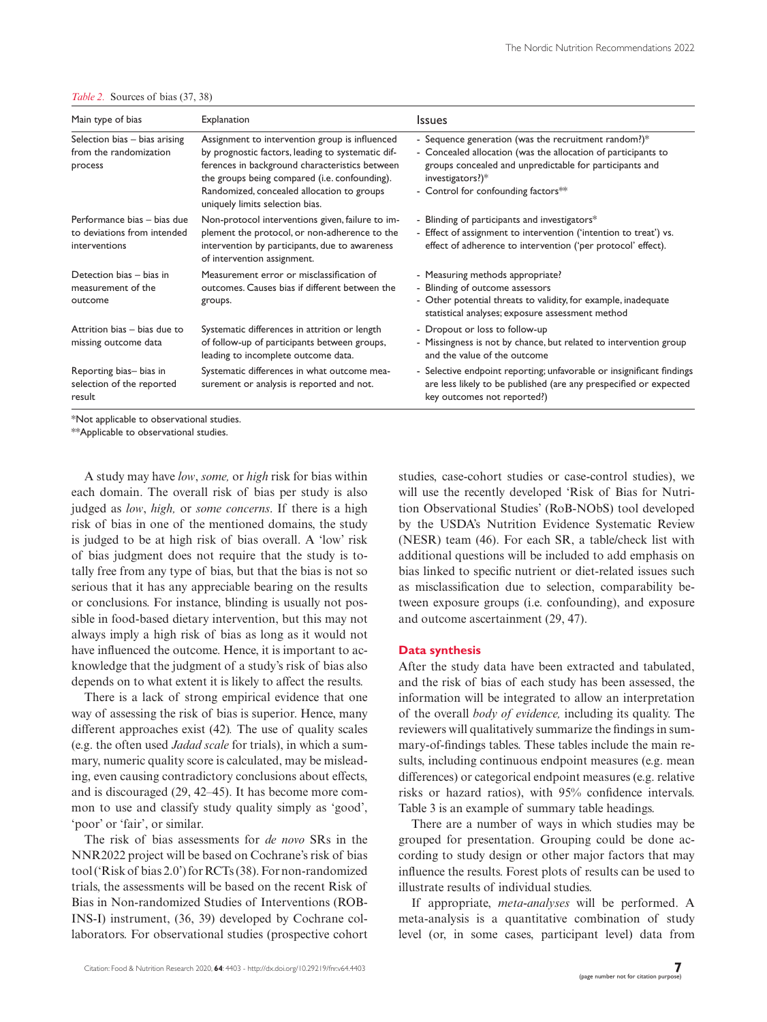| Explanation                                                                                                                                                                                                                                                                                                                                                                                                                                                                                                                                                                                                                      | <b>Issues</b>                                                                                                                                                                             |
|----------------------------------------------------------------------------------------------------------------------------------------------------------------------------------------------------------------------------------------------------------------------------------------------------------------------------------------------------------------------------------------------------------------------------------------------------------------------------------------------------------------------------------------------------------------------------------------------------------------------------------|-------------------------------------------------------------------------------------------------------------------------------------------------------------------------------------------|
| - Sequence generation (was the recruitment random?)*<br>Selection bias - bias arising<br>Assignment to intervention group is influenced<br>by prognostic factors, leading to systematic dif-<br>- Concealed allocation (was the allocation of participants to<br>from the randomization<br>ferences in background characteristics between<br>groups concealed and unpredictable for participants and<br>the groups being compared (i.e. confounding).<br>investigators?)*<br>- Control for confounding factors**<br>Randomized, concealed allocation to groups<br>uniquely limits selection bias.<br>Performance bias - bias due |                                                                                                                                                                                           |
| Non-protocol interventions given, failure to im-<br>plement the protocol, or non-adherence to the<br>intervention by participants, due to awareness<br>of intervention assignment.                                                                                                                                                                                                                                                                                                                                                                                                                                               | - Blinding of participants and investigators*<br>- Effect of assignment to intervention ('intention to treat') vs.<br>effect of adherence to intervention ('per protocol' effect).        |
| Measurement error or misclassification of<br>outcomes. Causes bias if different between the<br>groups.                                                                                                                                                                                                                                                                                                                                                                                                                                                                                                                           | - Measuring methods appropriate?<br>- Blinding of outcome assessors<br>- Other potential threats to validity, for example, inadequate<br>statistical analyses; exposure assessment method |
| Systematic differences in attrition or length<br>of follow-up of participants between groups,<br>leading to incomplete outcome data.                                                                                                                                                                                                                                                                                                                                                                                                                                                                                             | - Dropout or loss to follow-up<br>- Missingness is not by chance, but related to intervention group<br>and the value of the outcome                                                       |
| Systematic differences in what outcome mea-<br>surement or analysis is reported and not.                                                                                                                                                                                                                                                                                                                                                                                                                                                                                                                                         | - Selective endpoint reporting; unfavorable or insignificant findings<br>are less likely to be published (are any prespecified or expected<br>key outcomes not reported?)                 |
|                                                                                                                                                                                                                                                                                                                                                                                                                                                                                                                                                                                                                                  |                                                                                                                                                                                           |

*Table 2.* Sources of bias (37, 38)

\*Not applicable to observational studies.

\*\*Applicable to observational studies.

A study may have *low*, *some,* or *high* risk for bias within each domain. The overall risk of bias per study is also judged as *low*, *high,* or *some concerns*. If there is a high risk of bias in one of the mentioned domains, the study is judged to be at high risk of bias overall. A 'low' risk of bias judgment does not require that the study is totally free from any type of bias, but that the bias is not so serious that it has any appreciable bearing on the results or conclusions. For instance, blinding is usually not possible in food-based dietary intervention, but this may not always imply a high risk of bias as long as it would not have influenced the outcome. Hence, it is important to acknowledge that the judgment of a study's risk of bias also depends on to what extent it is likely to affect the results.

There is a lack of strong empirical evidence that one way of assessing the risk of bias is superior. Hence, many different approaches exist (42)*.* The use of quality scales (e.g. the often used *Jadad scale* for trials), in which a summary, numeric quality score is calculated, may be misleading, even causing contradictory conclusions about effects, and is discouraged (29, 42–45). It has become more common to use and classify study quality simply as 'good', 'poor' or 'fair', or similar.

The risk of bias assessments for *de novo* SRs in the NNR2022 project will be based on Cochrane's risk of bias tool ('Risk of bias 2.0') for RCTs (38). For non-randomized trials, the assessments will be based on the recent Risk of Bias in Non-randomized Studies of Interventions (ROB-INS-I) instrument, (36, 39) developed by Cochrane collaborators. For observational studies (prospective cohort

studies, case-cohort studies or case-control studies), we will use the recently developed 'Risk of Bias for Nutrition Observational Studies' (RoB-NObS) tool developed by the USDA's Nutrition Evidence Systematic Review (NESR) team (46). For each SR, a table/check list with additional questions will be included to add emphasis on bias linked to specific nutrient or diet-related issues such as misclassification due to selection, comparability between exposure groups (i.e. confounding), and exposure and outcome ascertainment (29, 47).

#### **Data synthesis**

After the study data have been extracted and tabulated, and the risk of bias of each study has been assessed, the information will be integrated to allow an interpretation of the overall *body of evidence,* including its quality. The reviewers will qualitatively summarize the findings in summary-of-findings tables. These tables include the main results, including continuous endpoint measures (e.g. mean differences) or categorical endpoint measures (e.g. relative risks or hazard ratios), with 95% confidence intervals. Table 3 is an example of summary table headings.

There are a number of ways in which studies may be grouped for presentation. Grouping could be done according to study design or other major factors that may influence the results. Forest plots of results can be used to illustrate results of individual studies.

If appropriate, *meta-analyses* will be performed. A meta-analysis is a quantitative combination of study level (or, in some cases, participant level) data from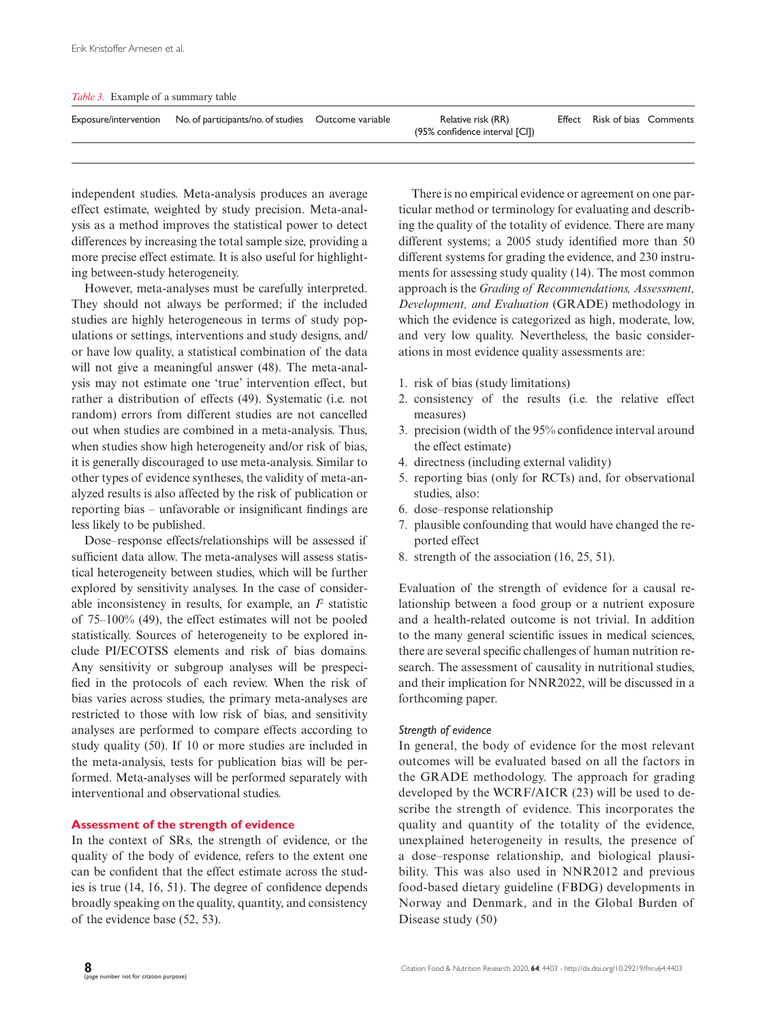| Table 3. Example of a summary table |
|-------------------------------------|
|-------------------------------------|

| Exposure/intervention No. of participants/no. of studies Outcome variable | Relative risk (RR)<br>(95% confidence interval [CI]) | Effect Risk of bias Comments |  |
|---------------------------------------------------------------------------|------------------------------------------------------|------------------------------|--|
|                                                                           |                                                      |                              |  |

independent studies. Meta-analysis produces an average effect estimate, weighted by study precision. Meta-analysis as a method improves the statistical power to detect differences by increasing the total sample size, providing a more precise effect estimate. It is also useful for highlighting between-study heterogeneity.

However, meta-analyses must be carefully interpreted. They should not always be performed; if the included studies are highly heterogeneous in terms of study populations or settings, interventions and study designs, and/ or have low quality, a statistical combination of the data will not give a meaningful answer (48). The meta-analysis may not estimate one 'true' intervention effect, but rather a distribution of effects (49). Systematic (i.e. not random) errors from different studies are not cancelled out when studies are combined in a meta-analysis. Thus, when studies show high heterogeneity and/or risk of bias, it is generally discouraged to use meta-analysis. Similar to other types of evidence syntheses, the validity of meta-analyzed results is also affected by the risk of publication or reporting bias – unfavorable or insignificant findings are less likely to be published.

Dose–response effects/relationships will be assessed if sufficient data allow. The meta-analyses will assess statistical heterogeneity between studies, which will be further explored by sensitivity analyses. In the case of considerable inconsistency in results, for example, an  $I<sup>2</sup>$  statistic of 75–100% (49), the effect estimates will not be pooled statistically. Sources of heterogeneity to be explored include PI/ECOTSS elements and risk of bias domains. Any sensitivity or subgroup analyses will be prespecified in the protocols of each review. When the risk of bias varies across studies, the primary meta-analyses are restricted to those with low risk of bias, and sensitivity analyses are performed to compare effects according to study quality (50). If 10 or more studies are included in the meta-analysis, tests for publication bias will be performed. Meta-analyses will be performed separately with interventional and observational studies.

## **Assessment of the strength of evidence**

In the context of SRs, the strength of evidence, or the quality of the body of evidence, refers to the extent one can be confident that the effect estimate across the studies is true (14, 16, 51). The degree of confidence depends broadly speaking on the quality, quantity, and consistency of the evidence base (52, 53).

There is no empirical evidence or agreement on one particular method or terminology for evaluating and describing the quality of the totality of evidence. There are many different systems; a 2005 study identified more than 50 different systems for grading the evidence, and 230 instruments for assessing study quality (14). The most common approach is the *Grading of Recommendations, Assessment, Development, and Evaluation* (GRADE) methodology in which the evidence is categorized as high, moderate, low, and very low quality. Nevertheless, the basic considerations in most evidence quality assessments are:

- 1. risk of bias (study limitations)
- 2. consistency of the results (i.e. the relative effect measures)
- 3. precision (width of the 95% confidence interval around the effect estimate)
- 4. directness (including external validity)
- 5. reporting bias (only for RCTs) and, for observational studies, also:
- 6. dose–response relationship
- 7. plausible confounding that would have changed the reported effect
- 8. strength of the association (16, 25, 51).

Evaluation of the strength of evidence for a causal relationship between a food group or a nutrient exposure and a health-related outcome is not trivial. In addition to the many general scientific issues in medical sciences, there are several specific challenges of human nutrition research. The assessment of causality in nutritional studies, and their implication for NNR2022, will be discussed in a forthcoming paper.

#### *Strength of evidence*

In general, the body of evidence for the most relevant outcomes will be evaluated based on all the factors in the GRADE methodology. The approach for grading developed by the WCRF/AICR (23) will be used to describe the strength of evidence. This incorporates the quality and quantity of the totality of the evidence, unexplained heterogeneity in results, the presence of a dose–response relationship, and biological plausibility. This was also used in NNR2012 and previous food-based dietary guideline (FBDG) developments in Norway and Denmark, and in the Global Burden of Disease study (50)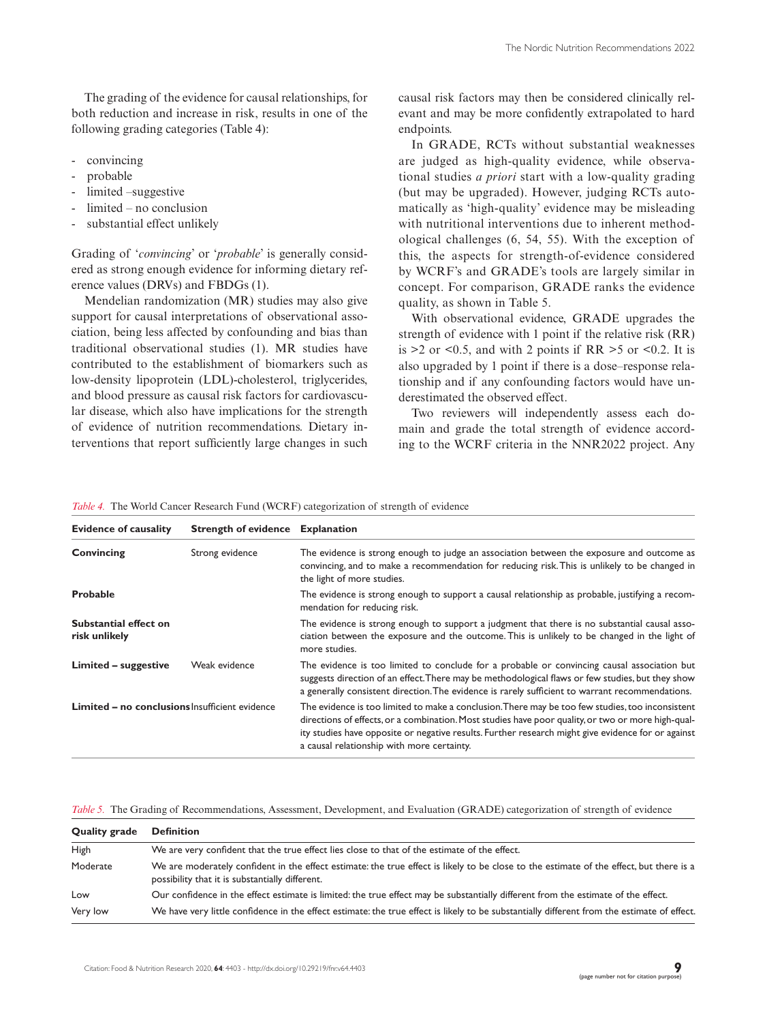The grading of the evidence for causal relationships, for both reduction and increase in risk, results in one of the following grading categories (Table 4):

- convincing
- probable
- limited –suggestive
- $limited no conclusion$
- substantial effect unlikely

Grading of '*convincing*' or '*probable*' is generally considered as strong enough evidence for informing dietary reference values (DRVs) and FBDGs (1).

Mendelian randomization (MR) studies may also give support for causal interpretations of observational association, being less affected by confounding and bias than traditional observational studies (1). MR studies have contributed to the establishment of biomarkers such as low-density lipoprotein (LDL)-cholesterol, triglycerides, and blood pressure as causal risk factors for cardiovascular disease, which also have implications for the strength of evidence of nutrition recommendations. Dietary interventions that report sufficiently large changes in such

causal risk factors may then be considered clinically relevant and may be more confidently extrapolated to hard endpoints.

In GRADE, RCTs without substantial weaknesses are judged as high-quality evidence, while observational studies *a priori* start with a low-quality grading (but may be upgraded). However, judging RCTs automatically as 'high-quality' evidence may be misleading with nutritional interventions due to inherent methodological challenges (6, 54, 55). With the exception of this, the aspects for strength-of-evidence considered by WCRF's and GRADE's tools are largely similar in concept. For comparison, GRADE ranks the evidence quality, as shown in Table 5.

With observational evidence, GRADE upgrades the strength of evidence with 1 point if the relative risk (RR) is  $>2$  or  $< 0.5$ , and with 2 points if RR  $> 5$  or  $< 0.2$ . It is also upgraded by 1 point if there is a dose–response relationship and if any confounding factors would have underestimated the observed effect.

Two reviewers will independently assess each domain and grade the total strength of evidence according to the WCRF criteria in the NNR2022 project. Any

| <i>Table 4.</i> The World Cancer Research Fund (WCRF) categorization of strength of evidence |  |  |
|----------------------------------------------------------------------------------------------|--|--|
|----------------------------------------------------------------------------------------------|--|--|

| <b>Evidence of causality</b>                          | Strength of evidence Explanation |                                                                                                                                                                                                                                                                                                                                                            |
|-------------------------------------------------------|----------------------------------|------------------------------------------------------------------------------------------------------------------------------------------------------------------------------------------------------------------------------------------------------------------------------------------------------------------------------------------------------------|
| Convincing<br>Strong evidence                         |                                  | The evidence is strong enough to judge an association between the exposure and outcome as<br>convincing, and to make a recommendation for reducing risk. This is unlikely to be changed in<br>the light of more studies.                                                                                                                                   |
| Probable                                              |                                  | The evidence is strong enough to support a causal relationship as probable, justifying a recom-<br>mendation for reducing risk.                                                                                                                                                                                                                            |
| Substantial effect on<br>risk unlikely                |                                  | The evidence is strong enough to support a judgment that there is no substantial causal asso-<br>ciation between the exposure and the outcome. This is unlikely to be changed in the light of<br>more studies.                                                                                                                                             |
| Limited - suggestive                                  | Weak evidence                    | The evidence is too limited to conclude for a probable or convincing causal association but<br>suggests direction of an effect. There may be methodological flaws or few studies, but they show<br>a generally consistent direction. The evidence is rarely sufficient to warrant recommendations.                                                         |
| <b>Limited - no conclusions</b> Insufficient evidence |                                  | The evidence is too limited to make a conclusion. There may be too few studies, too inconsistent<br>directions of effects, or a combination. Most studies have poor quality, or two or more high-qual-<br>ity studies have opposite or negative results. Further research might give evidence for or against<br>a causal relationship with more certainty. |

*Table 5.* The Grading of Recommendations, Assessment, Development, and Evaluation (GRADE) categorization of strength of evidence

| <b>Quality grade</b> | <b>Definition</b>                                                                                                                                                                          |
|----------------------|--------------------------------------------------------------------------------------------------------------------------------------------------------------------------------------------|
| High                 | We are very confident that the true effect lies close to that of the estimate of the effect.                                                                                               |
| Moderate             | We are moderately confident in the effect estimate: the true effect is likely to be close to the estimate of the effect, but there is a<br>possibility that it is substantially different. |
| Low                  | Our confidence in the effect estimate is limited: the true effect may be substantially different from the estimate of the effect.                                                          |
| Very low             | We have very little confidence in the effect estimate: the true effect is likely to be substantially different from the estimate of effect.                                                |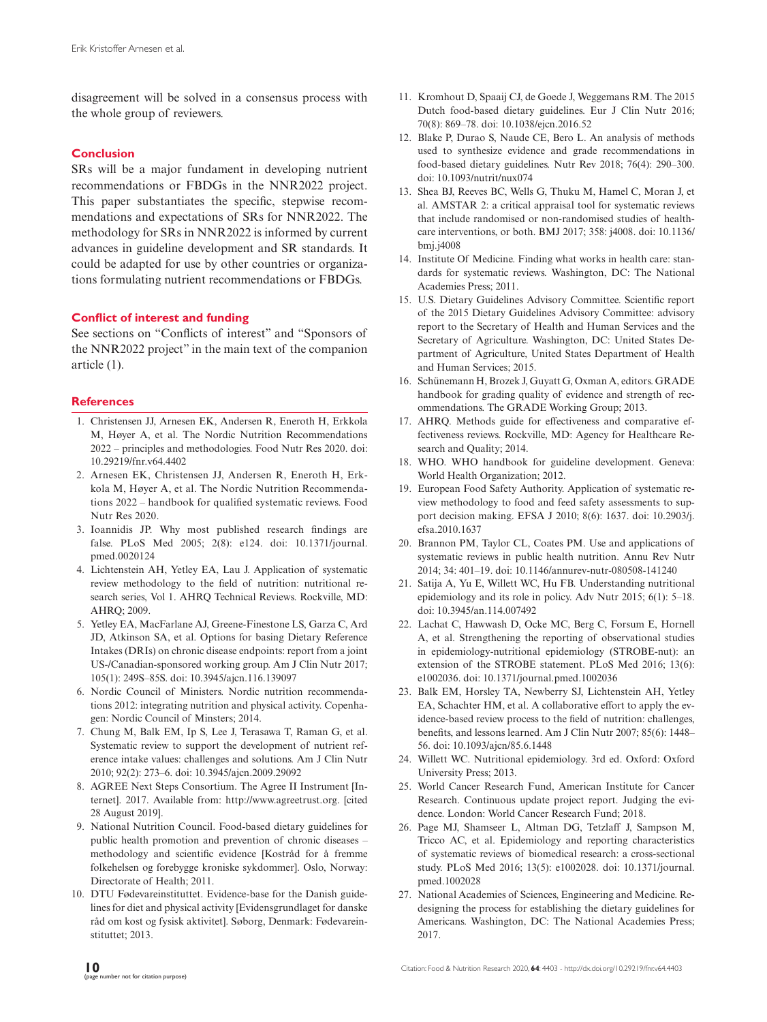disagreement will be solved in a consensus process with the whole group of reviewers.

## **Conclusion**

SRs will be a major fundament in developing nutrient recommendations or FBDGs in the NNR2022 project. This paper substantiates the specific, stepwise recommendations and expectations of SRs for NNR2022. The methodology for SRs in NNR2022 is informed by current advances in guideline development and SR standards. It could be adapted for use by other countries or organizations formulating nutrient recommendations or FBDGs.

## **Conflict of interest and funding**

See sections on "Conflicts of interest" and "Sponsors of the NNR2022 project" in the main text of the companion article (1).

## **References**

- 1. Christensen JJ, Arnesen EK, Andersen R, Eneroth H, Erkkola M, Høyer A, et al. The Nordic Nutrition Recommendations 2022 – principles and methodologies. Food Nutr Res 2020. doi: [10.29219/fnr.v64.4402](https://dx.doi.org/10.29219/fnr.v64.4402)
- 2. Arnesen EK, Christensen JJ, Andersen R, Eneroth H, Erkkola M, Høyer A, et al. The Nordic Nutrition Recommendations 2022 – handbook for qualified systematic reviews. Food Nutr Res 2020.
- 3. Ioannidis JP. Why most published research findings are false. PLoS Med 2005; 2(8): e124. doi: [10.1371/journal.](https://dx.doi.org/10.1371/journal.pmed.0020124) [pmed.0020124](https://dx.doi.org/10.1371/journal.pmed.0020124)
- 4. Lichtenstein AH, Yetley EA, Lau J. Application of systematic review methodology to the field of nutrition: nutritional research series, Vol 1. AHRQ Technical Reviews. Rockville, MD: AHRQ; 2009.
- 5. Yetley EA, MacFarlane AJ, Greene-Finestone LS, Garza C, Ard JD, Atkinson SA, et al. Options for basing Dietary Reference Intakes (DRIs) on chronic disease endpoints: report from a joint US-/Canadian-sponsored working group. Am J Clin Nutr 2017; 105(1): 249S–85S. doi: [10.3945/ajcn.116.139097](https://dx.doi.org/10.3945/ajcn.116.139097)
- 6. Nordic Council of Ministers. Nordic nutrition recommendations 2012: integrating nutrition and physical activity. Copenhagen: Nordic Council of Minsters; 2014.
- 7. Chung M, Balk EM, Ip S, Lee J, Terasawa T, Raman G, et al. Systematic review to support the development of nutrient reference intake values: challenges and solutions. Am J Clin Nutr 2010; 92(2): 273–6. doi: [10.3945/ajcn.2009.29092](https://dx.doi.org/10.3945/ajcn.2009.29092)
- 8. AGREE Next Steps Consortium. The Agree II Instrument [Internet]. 2017. Available from: [http://www.agreetrust.org.](http://www.agreetrust.org) [cited 28 August 2019].
- 9. National Nutrition Council. Food-based dietary guidelines for public health promotion and prevention of chronic diseases – methodology and scientific evidence [Kostråd for å fremme folkehelsen og forebygge kroniske sykdommer]. Oslo, Norway: Directorate of Health; 2011.
- 10. DTU Fødevareinstituttet. Evidence-base for the Danish guidelines for diet and physical activity [Evidensgrundlaget for danske råd om kost og fysisk aktivitet]. Søborg, Denmark: Fødevareinstituttet; 2013.
- 11. Kromhout D, Spaaij CJ, de Goede J, Weggemans RM. The 2015 Dutch food-based dietary guidelines. Eur J Clin Nutr 2016; 70(8): 869–78. doi: [10.1038/ejcn.2016.52](https://dx.doi.org/10.1038/ejcn.2016.52)
- 12. Blake P, Durao S, Naude CE, Bero L. An analysis of methods used to synthesize evidence and grade recommendations in food-based dietary guidelines. Nutr Rev 2018; 76(4): 290–300. doi: [10.1093/nutrit/nux074](https://dx.doi.org/10.1093/nutrit/nux074)
- 13. Shea BJ, Reeves BC, Wells G, Thuku M, Hamel C, Moran J, et al. AMSTAR 2: a critical appraisal tool for systematic reviews that include randomised or non-randomised studies of healthcare interventions, or both. BMJ 2017; 358: j4008. doi: [10.1136/](https://dx.doi.org/10.1136/bmj.j4008) [bmj.j4008](https://dx.doi.org/10.1136/bmj.j4008)
- 14. Institute Of Medicine. Finding what works in health care: standards for systematic reviews. Washington, DC: The National Academies Press; 2011.
- 15. U.S. Dietary Guidelines Advisory Committee. Scientific report of the 2015 Dietary Guidelines Advisory Committee: advisory report to the Secretary of Health and Human Services and the Secretary of Agriculture. Washington, DC: United States Department of Agriculture, United States Department of Health and Human Services; 2015.
- 16. Schünemann H, Brozek J, Guyatt G, Oxman A, editors. GRADE handbook for grading quality of evidence and strength of recommendations. The GRADE Working Group; 2013.
- 17. AHRQ. Methods guide for effectiveness and comparative effectiveness reviews. Rockville, MD: Agency for Healthcare Research and Quality; 2014.
- 18. WHO. WHO handbook for guideline development. Geneva: World Health Organization; 2012.
- 19. European Food Safety Authority. Application of systematic review methodology to food and feed safety assessments to support decision making. EFSA J 2010; 8(6): 1637. doi: [10.2903/j.](https://dx.doi.org/10.2903/j.efsa.2010.1637) [efsa.2010.1637](https://dx.doi.org/10.2903/j.efsa.2010.1637)
- 20. Brannon PM, Taylor CL, Coates PM. Use and applications of systematic reviews in public health nutrition. Annu Rev Nutr 2014; 34: 401–19. doi: [10.1146/annurev-nutr-080508-141240](https://dx.doi.org/10.1146/annurev-nutr-080508-141240)
- 21. Satija A, Yu E, Willett WC, Hu FB. Understanding nutritional epidemiology and its role in policy. Adv Nutr 2015; 6(1): 5–18. doi: [10.3945/an.114.007492](https://dx.doi.org/10.3945/an.114.007492)
- 22. Lachat C, Hawwash D, Ocke MC, Berg C, Forsum E, Hornell A, et al. Strengthening the reporting of observational studies in epidemiology-nutritional epidemiology (STROBE-nut): an extension of the STROBE statement. PLoS Med 2016; 13(6): e1002036. doi: [10.1371/journal.pmed.1002036](https://dx.doi.org/10.1371/journal.pmed.1002036)
- 23. Balk EM, Horsley TA, Newberry SJ, Lichtenstein AH, Yetley EA, Schachter HM, et al. A collaborative effort to apply the evidence-based review process to the field of nutrition: challenges, benefits, and lessons learned. Am J Clin Nutr 2007; 85(6): 1448– 56. doi: [10.1093/ajcn/85.6.1448](https://dx.doi.org/10.1093/ajcn/85.6.1448)
- 24. Willett WC. Nutritional epidemiology. 3rd ed. Oxford: Oxford University Press; 2013.
- 25. World Cancer Research Fund, American Institute for Cancer Research. Continuous update project report. Judging the evidence. London: World Cancer Research Fund; 2018.
- 26. Page MJ, Shamseer L, Altman DG, Tetzlaff J, Sampson M, Tricco AC, et al. Epidemiology and reporting characteristics of systematic reviews of biomedical research: a cross-sectional study. PLoS Med 2016; 13(5): e1002028. doi: [10.1371/journal.](https://dx.doi.org/10.1371/journal.pmed.1002028) [pmed.1002028](https://dx.doi.org/10.1371/journal.pmed.1002028)
- 27. National Academies of Sciences, Engineering and Medicine. Redesigning the process for establishing the dietary guidelines for Americans. Washington, DC: The National Academies Press; 2017.